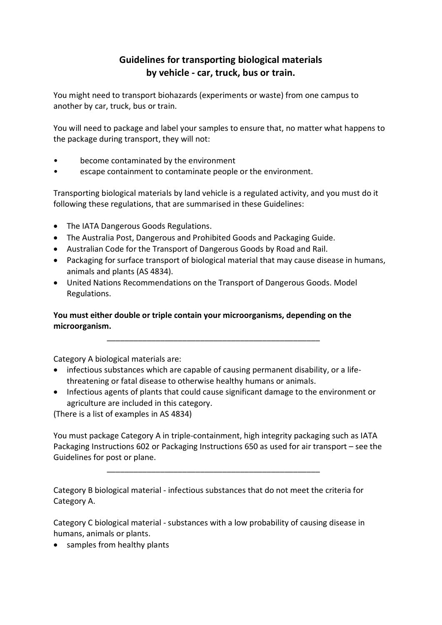# **Guidelines for transporting biological materials by vehicle - car, truck, bus or train.**

You might need to transport biohazards (experiments or waste) from one campus to another by car, truck, bus or train.

You will need to package and label your samples to ensure that, no matter what happens to the package during transport, they will not:

- become contaminated by the environment
- escape containment to contaminate people or the environment.

Transporting biological materials by land vehicle is a regulated activity, and you must do it following these regulations, that are summarised in these Guidelines:

- The IATA Dangerous Goods Regulations.
- The Australia Post, Dangerous and Prohibited Goods and Packaging Guide.
- Australian Code for the Transport of Dangerous Goods by Road and Rail.
- Packaging for surface transport of biological material that may cause disease in humans, animals and plants (AS 4834).
- United Nations Recommendations on the Transport of Dangerous Goods. Model Regulations.

## **You must either double or triple contain your microorganisms, depending on the microorganism.**

Category A biological materials are:

• infectious substances which are capable of causing permanent disability, or a lifethreatening or fatal disease to otherwise healthy humans or animals.

\_\_\_\_\_\_\_\_\_\_\_\_\_\_\_\_\_\_\_\_\_\_\_\_\_\_\_\_\_\_\_\_\_\_\_\_\_\_\_\_\_\_\_\_\_\_\_\_

• Infectious agents of plants that could cause significant damage to the environment or agriculture are included in this category.

(There is a list of examples in AS 4834)

You must package Category A in triple-containment, high integrity packaging such as IATA Packaging Instructions 602 or Packaging Instructions 650 as used for air transport – see the Guidelines for post or plane.

\_\_\_\_\_\_\_\_\_\_\_\_\_\_\_\_\_\_\_\_\_\_\_\_\_\_\_\_\_\_\_\_\_\_\_\_\_\_\_\_\_\_\_\_\_\_\_\_

Category B biological material - infectious substances that do not meet the criteria for Category A.

Category C biological material - substances with a low probability of causing disease in humans, animals or plants.

• samples from healthy plants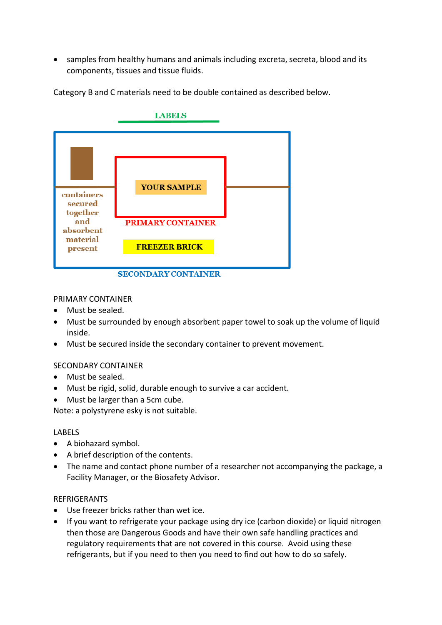• samples from healthy humans and animals including excreta, secreta, blood and its components, tissues and tissue fluids.



Category B and C materials need to be double contained as described below.

### PRIMARY CONTAINER

- Must be sealed.
- Must be surrounded by enough absorbent paper towel to soak up the volume of liquid inside.
- Must be secured inside the secondary container to prevent movement.

#### SECONDARY CONTAINER

- Must be sealed.
- Must be rigid, solid, durable enough to survive a car accident.
- Must be larger than a 5cm cube.

Note: a polystyrene esky is not suitable.

#### LABELS

- A biohazard symbol.
- A brief description of the contents.
- The name and contact phone number of a researcher not accompanying the package, a Facility Manager, or the Biosafety Advisor.

#### REFRIGERANTS

- Use freezer bricks rather than wet ice.
- If you want to refrigerate your package using dry ice (carbon dioxide) or liquid nitrogen then those are Dangerous Goods and have their own safe handling practices and regulatory requirements that are not covered in this course. Avoid using these refrigerants, but if you need to then you need to find out how to do so safely.